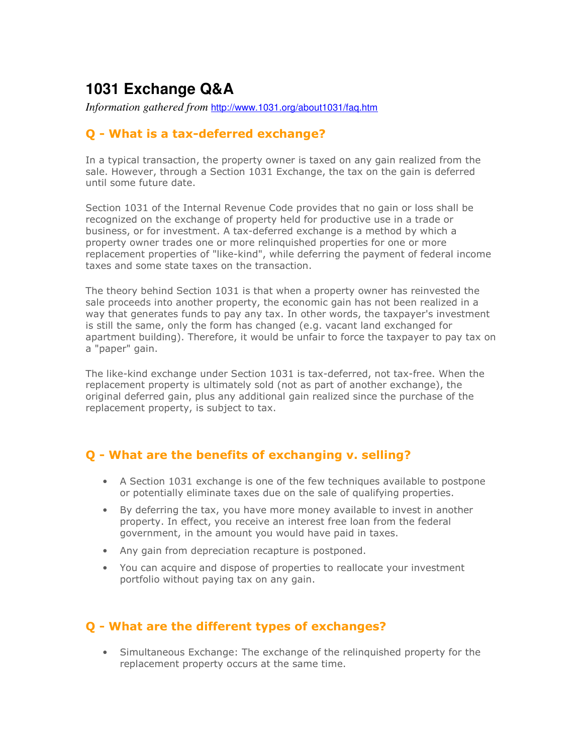# **1031 Exchange Q&A**

*Information gathered from* http://www.1031.org/about1031/faq.htm

# Q - What is a tax-deferred exchange?

In a typical transaction, the property owner is taxed on any gain realized from the sale. However, through a Section 1031 Exchange, the tax on the gain is deferred until some future date.

Section 1031 of the Internal Revenue Code provides that no gain or loss shall be recognized on the exchange of property held for productive use in a trade or business, or for investment. A tax-deferred exchange is a method by which a property owner trades one or more relinquished properties for one or more replacement properties of "like-kind", while deferring the payment of federal income taxes and some state taxes on the transaction.

The theory behind Section 1031 is that when a property owner has reinvested the sale proceeds into another property, the economic gain has not been realized in a way that generates funds to pay any tax. In other words, the taxpayer's investment is still the same, only the form has changed (e.g. vacant land exchanged for apartment building). Therefore, it would be unfair to force the taxpayer to pay tax on a "paper" gain.

The like-kind exchange under Section 1031 is tax-deferred, not tax-free. When the replacement property is ultimately sold (not as part of another exchange), the original deferred gain, plus any additional gain realized since the purchase of the replacement property, is subject to tax.

# Q - What are the benefits of exchanging v. selling?

- A Section 1031 exchange is one of the few techniques available to postpone or potentially eliminate taxes due on the sale of qualifying properties.
- By deferring the tax, you have more money available to invest in another property. In effect, you receive an interest free loan from the federal government, in the amount you would have paid in taxes.
- Any gain from depreciation recapture is postponed.
- You can acquire and dispose of properties to reallocate your investment portfolio without paying tax on any gain.

# Q - What are the different types of exchanges?

• Simultaneous Exchange: The exchange of the relinquished property for the replacement property occurs at the same time.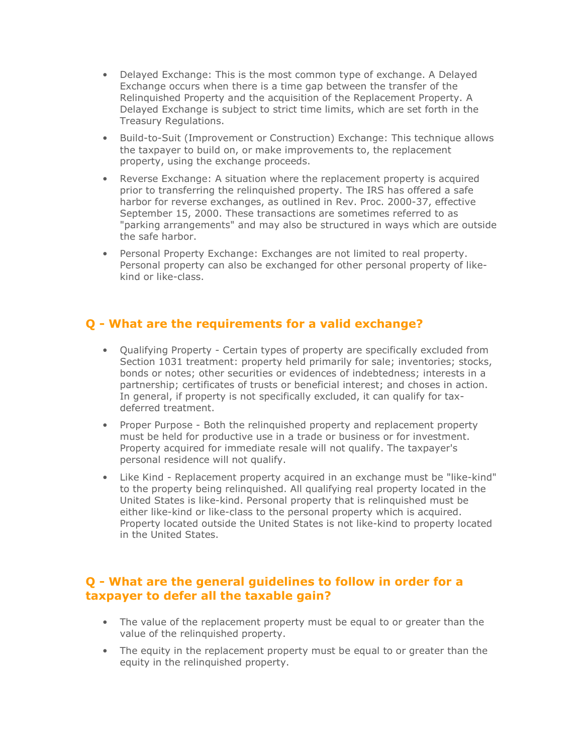- Delayed Exchange: This is the most common type of exchange. A Delayed Exchange occurs when there is a time gap between the transfer of the Relinquished Property and the acquisition of the Replacement Property. A Delayed Exchange is subject to strict time limits, which are set forth in the Treasury Regulations.
- Build-to-Suit (Improvement or Construction) Exchange: This technique allows the taxpayer to build on, or make improvements to, the replacement property, using the exchange proceeds.
- Reverse Exchange: A situation where the replacement property is acquired prior to transferring the relinquished property. The IRS has offered a safe harbor for reverse exchanges, as outlined in Rev. Proc. 2000-37, effective September 15, 2000. These transactions are sometimes referred to as "parking arrangements" and may also be structured in ways which are outside the safe harbor.
- Personal Property Exchange: Exchanges are not limited to real property. Personal property can also be exchanged for other personal property of likekind or like-class.

# Q - What are the requirements for a valid exchange?

- Qualifying Property Certain types of property are specifically excluded from Section 1031 treatment: property held primarily for sale; inventories; stocks, bonds or notes; other securities or evidences of indebtedness; interests in a partnership; certificates of trusts or beneficial interest; and choses in action. In general, if property is not specifically excluded, it can qualify for taxdeferred treatment.
- Proper Purpose Both the relinquished property and replacement property must be held for productive use in a trade or business or for investment. Property acquired for immediate resale will not qualify. The taxpayer's personal residence will not qualify.
- Like Kind Replacement property acquired in an exchange must be "like-kind" to the property being relinquished. All qualifying real property located in the United States is like-kind. Personal property that is relinquished must be either like-kind or like-class to the personal property which is acquired. Property located outside the United States is not like-kind to property located in the United States.

# Q - What are the general guidelines to follow in order for a taxpayer to defer all the taxable gain?

- The value of the replacement property must be equal to or greater than the value of the relinquished property.
- The equity in the replacement property must be equal to or greater than the equity in the relinquished property.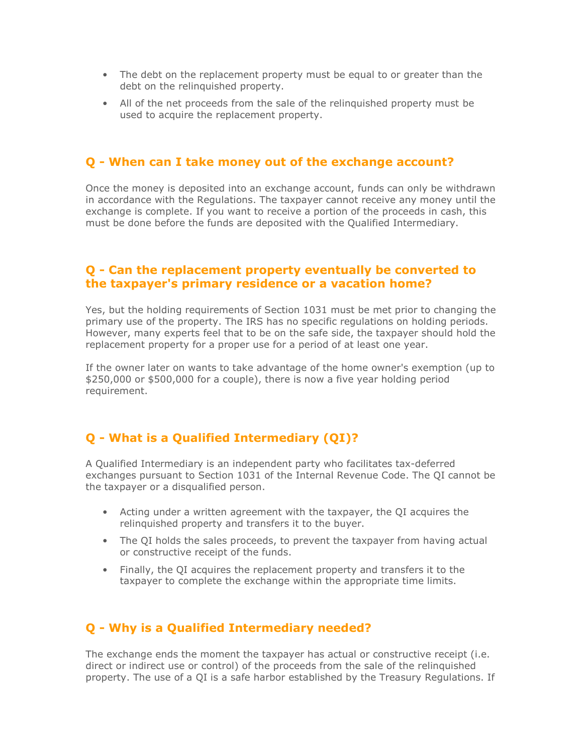- The debt on the replacement property must be equal to or greater than the debt on the relinquished property.
- All of the net proceeds from the sale of the relinquished property must be used to acquire the replacement property.

# Q - When can I take money out of the exchange account?

Once the money is deposited into an exchange account, funds can only be withdrawn in accordance with the Regulations. The taxpayer cannot receive any money until the exchange is complete. If you want to receive a portion of the proceeds in cash, this must be done before the funds are deposited with the Qualified Intermediary.

#### Q - Can the replacement property eventually be converted to the taxpayer's primary residence or a vacation home?

Yes, but the holding requirements of Section 1031 must be met prior to changing the primary use of the property. The IRS has no specific regulations on holding periods. However, many experts feel that to be on the safe side, the taxpayer should hold the replacement property for a proper use for a period of at least one year.

If the owner later on wants to take advantage of the home owner's exemption (up to \$250,000 or \$500,000 for a couple), there is now a five year holding period requirement.

# Q - What is a Qualified Intermediary (QI)?

A Qualified Intermediary is an independent party who facilitates tax-deferred exchanges pursuant to Section 1031 of the Internal Revenue Code. The QI cannot be the taxpayer or a disqualified person.

- Acting under a written agreement with the taxpayer, the QI acquires the relinquished property and transfers it to the buyer.
- The QI holds the sales proceeds, to prevent the taxpayer from having actual or constructive receipt of the funds.
- Finally, the QI acquires the replacement property and transfers it to the taxpayer to complete the exchange within the appropriate time limits.

# Q - Why is a Qualified Intermediary needed?

The exchange ends the moment the taxpayer has actual or constructive receipt (i.e. direct or indirect use or control) of the proceeds from the sale of the relinquished property. The use of a QI is a safe harbor established by the Treasury Regulations. If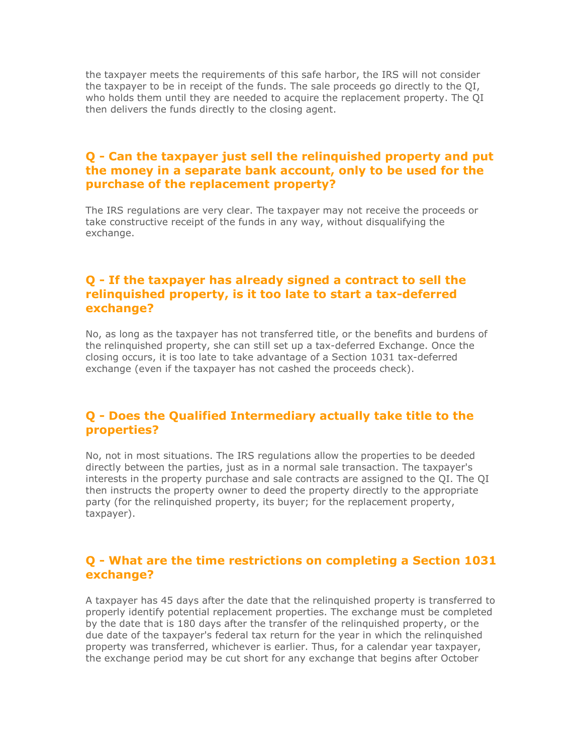the taxpayer meets the requirements of this safe harbor, the IRS will not consider the taxpayer to be in receipt of the funds. The sale proceeds go directly to the QI, who holds them until they are needed to acquire the replacement property. The QI then delivers the funds directly to the closing agent.

# Q - Can the taxpayer just sell the relinquished property and put the money in a separate bank account, only to be used for the purchase of the replacement property?

The IRS regulations are very clear. The taxpayer may not receive the proceeds or take constructive receipt of the funds in any way, without disqualifying the exchange.

# Q - If the taxpayer has already signed a contract to sell the relinquished property, is it too late to start a tax-deferred exchange?

No, as long as the taxpayer has not transferred title, or the benefits and burdens of the relinquished property, she can still set up a tax-deferred Exchange. Once the closing occurs, it is too late to take advantage of a Section 1031 tax-deferred exchange (even if the taxpayer has not cashed the proceeds check).

# Q - Does the Qualified Intermediary actually take title to the properties?

No, not in most situations. The IRS regulations allow the properties to be deeded directly between the parties, just as in a normal sale transaction. The taxpayer's interests in the property purchase and sale contracts are assigned to the QI. The QI then instructs the property owner to deed the property directly to the appropriate party (for the relinquished property, its buyer; for the replacement property, taxpayer).

# Q - What are the time restrictions on completing a Section 1031 exchange?

A taxpayer has 45 days after the date that the relinquished property is transferred to properly identify potential replacement properties. The exchange must be completed by the date that is 180 days after the transfer of the relinquished property, or the due date of the taxpayer's federal tax return for the year in which the relinquished property was transferred, whichever is earlier. Thus, for a calendar year taxpayer, the exchange period may be cut short for any exchange that begins after October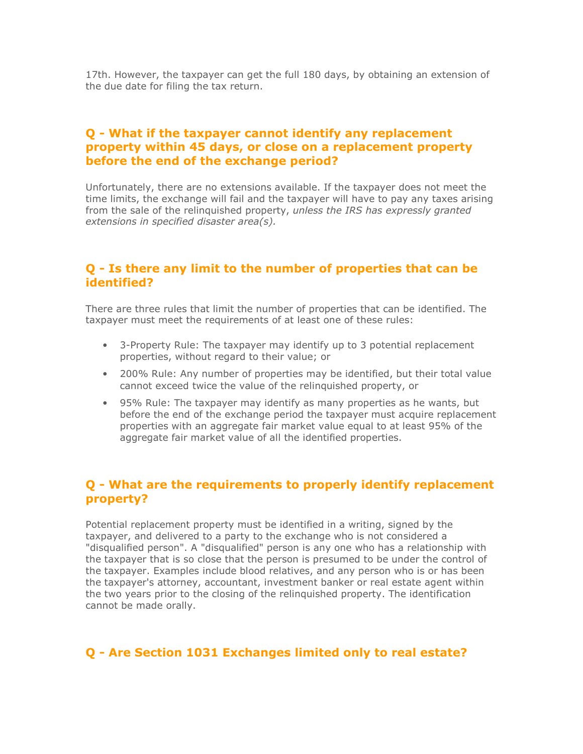17th. However, the taxpayer can get the full 180 days, by obtaining an extension of the due date for filing the tax return.

# Q - What if the taxpayer cannot identify any replacement property within 45 days, or close on a replacement property before the end of the exchange period?

Unfortunately, there are no extensions available. If the taxpayer does not meet the time limits, the exchange will fail and the taxpayer will have to pay any taxes arising from the sale of the relinquished property, unless the IRS has expressly granted extensions in specified disaster area(s).

## Q - Is there any limit to the number of properties that can be identified?

There are three rules that limit the number of properties that can be identified. The taxpayer must meet the requirements of at least one of these rules:

- 3-Property Rule: The taxpayer may identify up to 3 potential replacement properties, without regard to their value; or
- 200% Rule: Any number of properties may be identified, but their total value cannot exceed twice the value of the relinquished property, or
- 95% Rule: The taxpayer may identify as many properties as he wants, but before the end of the exchange period the taxpayer must acquire replacement properties with an aggregate fair market value equal to at least 95% of the aggregate fair market value of all the identified properties.

# Q - What are the requirements to properly identify replacement property?

Potential replacement property must be identified in a writing, signed by the taxpayer, and delivered to a party to the exchange who is not considered a "disqualified person". A "disqualified" person is any one who has a relationship with the taxpayer that is so close that the person is presumed to be under the control of the taxpayer. Examples include blood relatives, and any person who is or has been the taxpayer's attorney, accountant, investment banker or real estate agent within the two years prior to the closing of the relinquished property. The identification cannot be made orally.

#### Q - Are Section 1031 Exchanges limited only to real estate?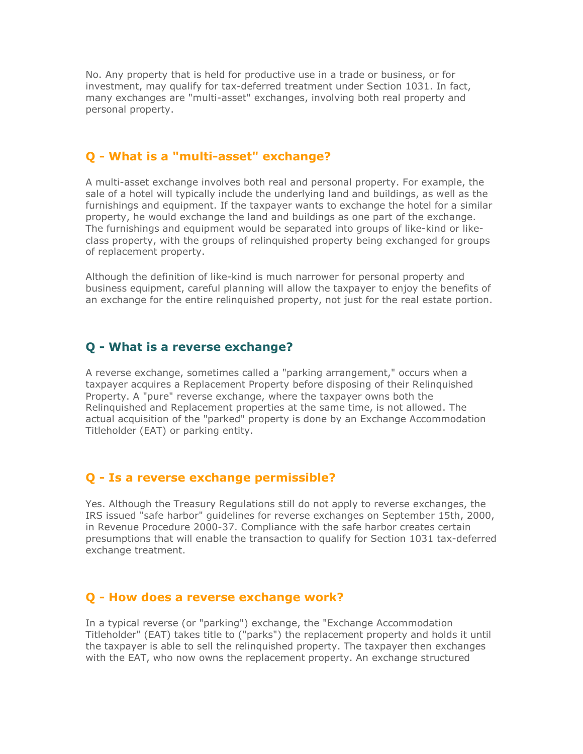No. Any property that is held for productive use in a trade or business, or for investment, may qualify for tax-deferred treatment under Section 1031. In fact, many exchanges are "multi-asset" exchanges, involving both real property and personal property.

#### Q - What is a "multi-asset" exchange?

A multi-asset exchange involves both real and personal property. For example, the sale of a hotel will typically include the underlying land and buildings, as well as the furnishings and equipment. If the taxpayer wants to exchange the hotel for a similar property, he would exchange the land and buildings as one part of the exchange. The furnishings and equipment would be separated into groups of like-kind or likeclass property, with the groups of relinquished property being exchanged for groups of replacement property.

Although the definition of like-kind is much narrower for personal property and business equipment, careful planning will allow the taxpayer to enjoy the benefits of an exchange for the entire relinquished property, not just for the real estate portion.

#### Q - What is a reverse exchange?

A reverse exchange, sometimes called a "parking arrangement," occurs when a taxpayer acquires a Replacement Property before disposing of their Relinquished Property. A "pure" reverse exchange, where the taxpayer owns both the Relinquished and Replacement properties at the same time, is not allowed. The actual acquisition of the "parked" property is done by an Exchange Accommodation Titleholder (EAT) or parking entity.

#### Q - Is a reverse exchange permissible?

Yes. Although the Treasury Regulations still do not apply to reverse exchanges, the IRS issued "safe harbor" guidelines for reverse exchanges on September 15th, 2000, in Revenue Procedure 2000-37. Compliance with the safe harbor creates certain presumptions that will enable the transaction to qualify for Section 1031 tax-deferred exchange treatment.

#### Q - How does a reverse exchange work?

In a typical reverse (or "parking") exchange, the "Exchange Accommodation Titleholder" (EAT) takes title to ("parks") the replacement property and holds it until the taxpayer is able to sell the relinquished property. The taxpayer then exchanges with the EAT, who now owns the replacement property. An exchange structured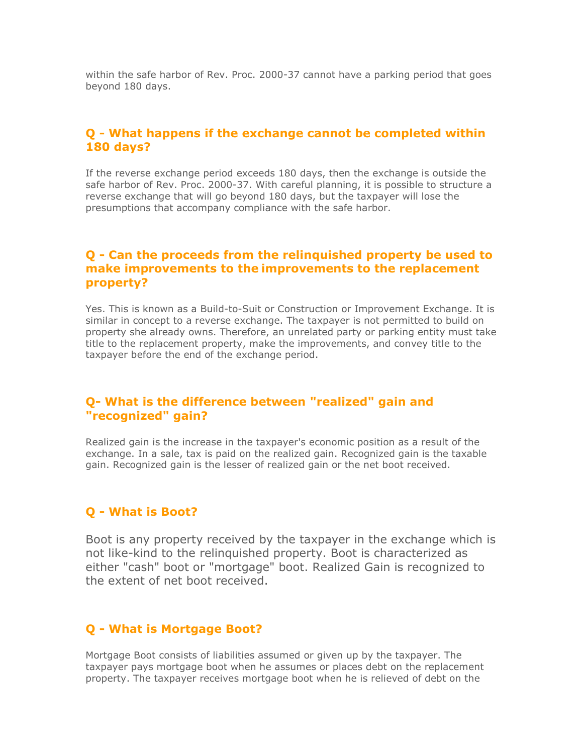within the safe harbor of Rev. Proc. 2000-37 cannot have a parking period that goes beyond 180 days.

#### Q - What happens if the exchange cannot be completed within 180 days?

If the reverse exchange period exceeds 180 days, then the exchange is outside the safe harbor of Rev. Proc. 2000-37. With careful planning, it is possible to structure a reverse exchange that will go beyond 180 days, but the taxpayer will lose the presumptions that accompany compliance with the safe harbor.

# Q - Can the proceeds from the relinquished property be used to make improvements to the improvements to the replacement property?

Yes. This is known as a Build-to-Suit or Construction or Improvement Exchange. It is similar in concept to a reverse exchange. The taxpayer is not permitted to build on property she already owns. Therefore, an unrelated party or parking entity must take title to the replacement property, make the improvements, and convey title to the taxpayer before the end of the exchange period.

#### Q- What is the difference between "realized" gain and "recognized" gain?

Realized gain is the increase in the taxpayer's economic position as a result of the exchange. In a sale, tax is paid on the realized gain. Recognized gain is the taxable gain. Recognized gain is the lesser of realized gain or the net boot received.

#### Q - What is Boot?

Boot is any property received by the taxpayer in the exchange which is not like-kind to the relinquished property. Boot is characterized as either "cash" boot or "mortgage" boot. Realized Gain is recognized to the extent of net boot received.

#### Q - What is Mortgage Boot?

Mortgage Boot consists of liabilities assumed or given up by the taxpayer. The taxpayer pays mortgage boot when he assumes or places debt on the replacement property. The taxpayer receives mortgage boot when he is relieved of debt on the